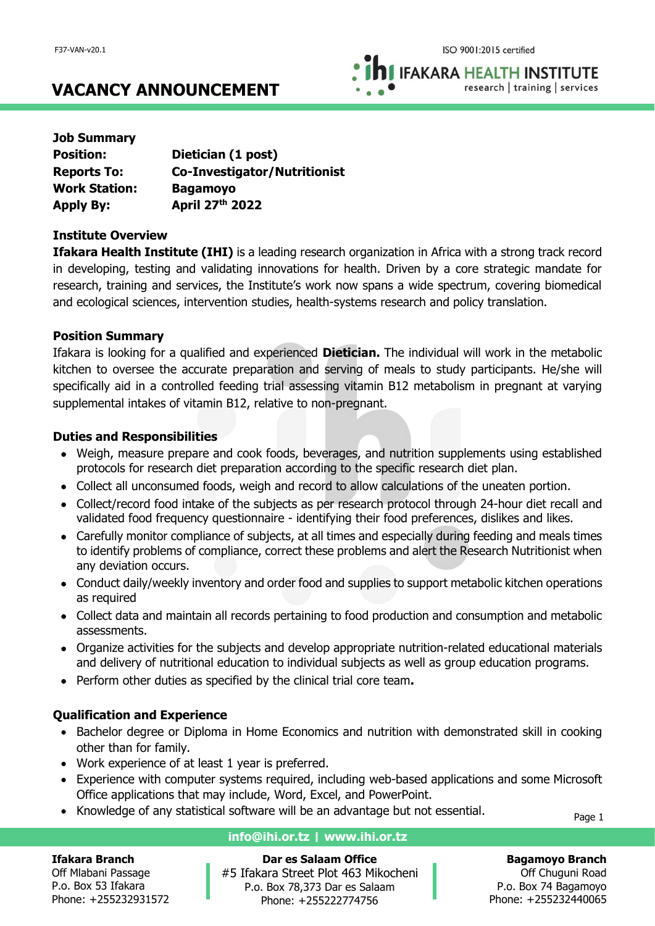**IFAKARA HEALTH INSTITUTE** research | training | services

# **VACANCY ANNOUNCEMENT**

| <b>Job Summary</b>   |                                     |
|----------------------|-------------------------------------|
| <b>Position:</b>     | Dietician (1 post)                  |
| <b>Reports To:</b>   | <b>Co-Investigator/Nutritionist</b> |
| <b>Work Station:</b> | <b>Bagamoyo</b>                     |
| <b>Apply By:</b>     | April 27th 2022                     |

### **Institute Overview**

**Ifakara Health Institute (IHI)** is a leading research organization in Africa with a strong track record in developing, testing and validating innovations for health. Driven by a core strategic mandate for research, training and services, the Institute's work now spans a wide spectrum, covering biomedical and ecological sciences, intervention studies, health-systems research and policy translation.

### **Position Summary**

Ifakara is looking for a qualified and experienced **Dietician.** The individual will work in the metabolic kitchen to oversee the accurate preparation and serving of meals to study participants. He/she will specifically aid in a controlled feeding trial assessing vitamin B12 metabolism in pregnant at varying supplemental intakes of vitamin B12, relative to non-pregnant.

### **Duties and Responsibilities**

- Weigh, measure prepare and cook foods, beverages, and nutrition supplements using established protocols for research diet preparation according to the specific research diet plan.
- Collect all unconsumed foods, weigh and record to allow calculations of the uneaten portion.
- Collect/record food intake of the subjects as per research protocol through 24-hour diet recall and validated food frequency questionnaire - identifying their food preferences, dislikes and likes.
- Carefully monitor compliance of subjects, at all times and especially during feeding and meals times to identify problems of compliance, correct these problems and alert the Research Nutritionist when any deviation occurs.
- Conduct daily/weekly inventory and order food and supplies to support metabolic kitchen operations as required
- Collect data and maintain all records pertaining to food production and consumption and metabolic assessments.
- Organize activities for the subjects and develop appropriate nutrition-related educational materials and delivery of nutritional education to individual subjects as well as group education programs.
- Perform other duties as specified by the clinical trial core team**.**

### **Qualification and Experience**

- Bachelor degree or Diploma in Home Economics and nutrition with demonstrated skill in cooking other than for family.
- Work experience of at least 1 year is preferred.
- Experience with computer systems required, including web-based applications and some Microsoft Office applications that may include, Word, Excel, and PowerPoint.
- Knowledge of any statistical software will be an advantage but not essential.

Page 1

#### **Ifakara Branch**

Off Mlabani Passage P.o. Box 53 Ifakara Phone: +255232931572

# **info@ihi.or.tz | www.ihi.or.tz**

**Dar es Salaam Office** #5 Ifakara Street Plot 463 Mikocheni P.o. Box 78,373 Dar es Salaam Phone: +255222774756

**Bagamoyo Branch**

Off Chuguni Road P.o. Box 74 Bagamoyo Phone: +255232440065